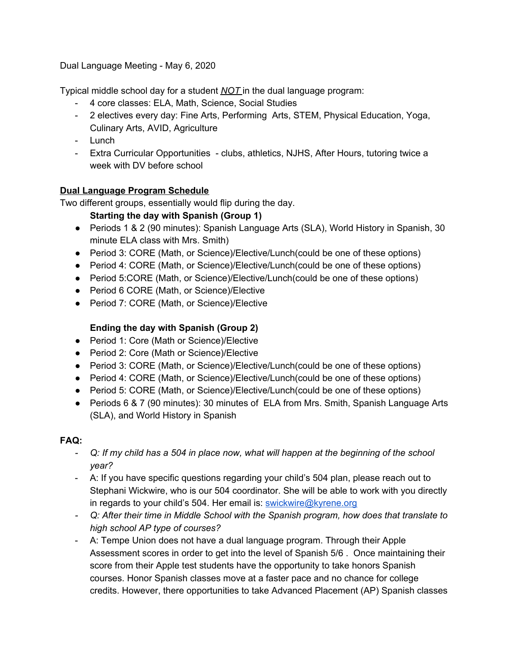Dual Language Meeting - May 6, 2020

Typical middle school day for a student *NOT* in the dual language program:

- 4 core classes: ELA, Math, Science, Social Studies
- 2 electives every day: Fine Arts, Performing Arts, STEM, Physical Education, Yoga, Culinary Arts, AVID, Agriculture
- Lunch
- Extra Curricular Opportunities clubs, athletics, NJHS, After Hours, tutoring twice a week with DV before school

## **Dual Language Program Schedule**

Two different groups, essentially would flip during the day.

## **Starting the day with Spanish (Group 1)**

- Periods 1 & 2 (90 minutes): Spanish Language Arts (SLA), World History in Spanish, 30 minute ELA class with Mrs. Smith)
- Period 3: CORE (Math, or Science)/Elective/Lunch(could be one of these options)
- Period 4: CORE (Math, or Science)/Elective/Lunch(could be one of these options)
- Period 5:CORE (Math, or Science)/Elective/Lunch(could be one of these options)
- Period 6 CORE (Math, or Science)/Elective
- Period 7: CORE (Math, or Science)/Elective

## **Ending the day with Spanish (Group 2)**

- Period 1: Core (Math or Science)/Elective
- Period 2: Core (Math or Science)/Elective
- Period 3: CORE (Math, or Science)/Elective/Lunch(could be one of these options)
- Period 4: CORE (Math, or Science)/Elective/Lunch(could be one of these options)
- Period 5: CORE (Math, or Science)/Elective/Lunch(could be one of these options)
- Periods 6 & 7 (90 minutes): 30 minutes of ELA from Mrs. Smith, Spanish Language Arts (SLA), and World History in Spanish

## **FAQ:**

- Q: If my child has a 504 in place now, what will happen at the beginning of the school *year?*
- A: If you have specific questions regarding your child's 504 plan, please reach out to Stephani Wickwire, who is our 504 coordinator. She will be able to work with you directly in regards to your child's 504. Her email is: [swickwire@kyrene.org](mailto:swickwire@kyrene.org)
- *- Q: After their time in Middle School with the Spanish program, how does that translate to high school AP type of courses?*
- A: Tempe Union does not have a dual language program. Through their Apple Assessment scores in order to get into the level of Spanish 5/6 . Once maintaining their score from their Apple test students have the opportunity to take honors Spanish courses. Honor Spanish classes move at a faster pace and no chance for college credits. However, there opportunities to take Advanced Placement (AP) Spanish classes